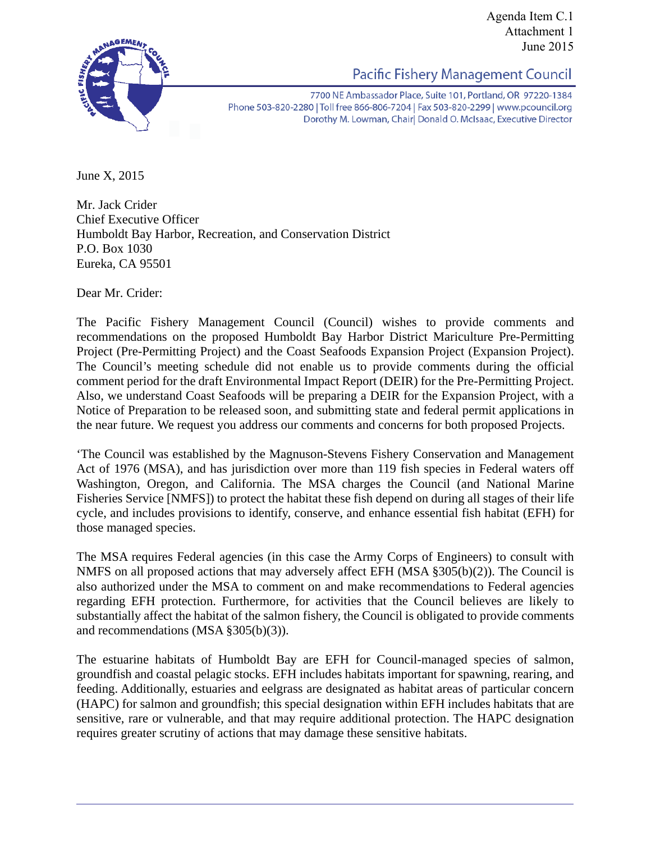

Agenda Item C.1 Attachment 1 June 2015

Pacific Fishery Management Council

7700 NE Ambassador Place, Suite 101, Portland, OR 97220-1384 Phone 503-820-2280 | Toll free 866-806-7204 | Fax 503-820-2299 | www.pcouncil.org Dorothy M. Lowman, Chair Donald O. McIsaac, Executive Director

June X, 2015

Mr. Jack Crider Chief Executive Officer Humboldt Bay Harbor, Recreation, and Conservation District P.O. Box 1030 Eureka, CA 95501

Dear Mr. Crider:

The Pacific Fishery Management Council (Council) wishes to provide comments and recommendations on the proposed Humboldt Bay Harbor District Mariculture Pre-Permitting Project (Pre-Permitting Project) and the Coast Seafoods Expansion Project (Expansion Project). The Council's meeting schedule did not enable us to provide comments during the official comment period for the draft Environmental Impact Report (DEIR) for the Pre-Permitting Project. Also, we understand Coast Seafoods will be preparing a DEIR for the Expansion Project, with a Notice of Preparation to be released soon, and submitting state and federal permit applications in the near future. We request you address our comments and concerns for both proposed Projects.

'The Council was established by the Magnuson-Stevens Fishery Conservation and Management Act of 1976 (MSA), and has jurisdiction over more than 119 fish species in Federal waters off Washington, Oregon, and California. The MSA charges the Council (and National Marine Fisheries Service [NMFS]) to protect the habitat these fish depend on during all stages of their life cycle, and includes provisions to identify, conserve, and enhance essential fish habitat (EFH) for those managed species.

The MSA requires Federal agencies (in this case the Army Corps of Engineers) to consult with NMFS on all proposed actions that may adversely affect EFH (MSA §305(b)(2)). The Council is also authorized under the MSA to comment on and make recommendations to Federal agencies regarding EFH protection. Furthermore, for activities that the Council believes are likely to substantially affect the habitat of the salmon fishery, the Council is obligated to provide comments and recommendations (MSA §305(b)(3)).

The estuarine habitats of Humboldt Bay are EFH for Council-managed species of salmon, groundfish and coastal pelagic stocks. EFH includes habitats important for spawning, rearing, and feeding. Additionally, estuaries and eelgrass are designated as habitat areas of particular concern (HAPC) for salmon and groundfish; this special designation within EFH includes habitats that are sensitive, rare or vulnerable, and that may require additional protection. The HAPC designation requires greater scrutiny of actions that may damage these sensitive habitats.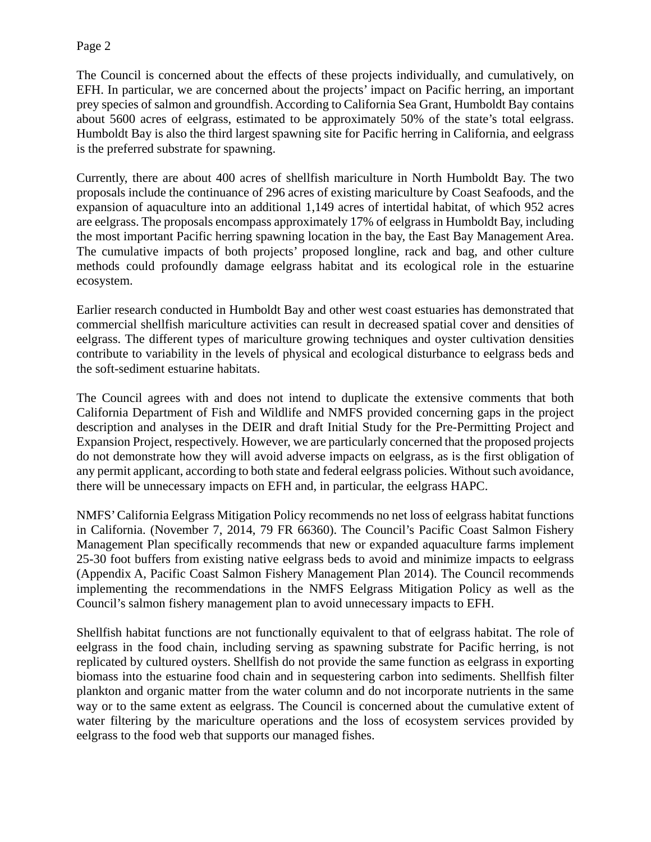## Page 2

The Council is concerned about the effects of these projects individually, and cumulatively, on EFH. In particular, we are concerned about the projects' impact on Pacific herring, an important prey species of salmon and groundfish. According to California Sea Grant, Humboldt Bay contains about 5600 acres of eelgrass, estimated to be approximately 50% of the state's total eelgrass. Humboldt Bay is also the third largest spawning site for Pacific herring in California, and eelgrass is the preferred substrate for spawning.

Currently, there are about 400 acres of shellfish mariculture in North Humboldt Bay. The two proposals include the continuance of 296 acres of existing mariculture by Coast Seafoods, and the expansion of aquaculture into an additional 1,149 acres of intertidal habitat, of which 952 acres are eelgrass. The proposals encompass approximately 17% of eelgrass in Humboldt Bay, including the most important Pacific herring spawning location in the bay, the East Bay Management Area. The cumulative impacts of both projects' proposed longline, rack and bag, and other culture methods could profoundly damage eelgrass habitat and its ecological role in the estuarine ecosystem.

Earlier research conducted in Humboldt Bay and other west coast estuaries has demonstrated that commercial shellfish mariculture activities can result in decreased spatial cover and densities of eelgrass. The different types of mariculture growing techniques and oyster cultivation densities contribute to variability in the levels of physical and ecological disturbance to eelgrass beds and the soft-sediment estuarine habitats.

The Council agrees with and does not intend to duplicate the extensive comments that both California Department of Fish and Wildlife and NMFS provided concerning gaps in the project description and analyses in the DEIR and draft Initial Study for the Pre-Permitting Project and Expansion Project, respectively. However, we are particularly concerned that the proposed projects do not demonstrate how they will avoid adverse impacts on eelgrass, as is the first obligation of any permit applicant, according to both state and federal eelgrass policies. Without such avoidance, there will be unnecessary impacts on EFH and, in particular, the eelgrass HAPC.

NMFS' California Eelgrass Mitigation Policy recommends no net loss of eelgrass habitat functions in California. (November 7, 2014, 79 FR 66360). The Council's Pacific Coast Salmon Fishery Management Plan specifically recommends that new or expanded aquaculture farms implement 25-30 foot buffers from existing native eelgrass beds to avoid and minimize impacts to eelgrass (Appendix A, Pacific Coast Salmon Fishery Management Plan 2014). The Council recommends implementing the recommendations in the NMFS Eelgrass Mitigation Policy as well as the Council's salmon fishery management plan to avoid unnecessary impacts to EFH.

Shellfish habitat functions are not functionally equivalent to that of eelgrass habitat. The role of eelgrass in the food chain, including serving as spawning substrate for Pacific herring, is not replicated by cultured oysters. Shellfish do not provide the same function as eelgrass in exporting biomass into the estuarine food chain and in sequestering carbon into sediments. Shellfish filter plankton and organic matter from the water column and do not incorporate nutrients in the same way or to the same extent as eelgrass. The Council is concerned about the cumulative extent of water filtering by the mariculture operations and the loss of ecosystem services provided by eelgrass to the food web that supports our managed fishes.